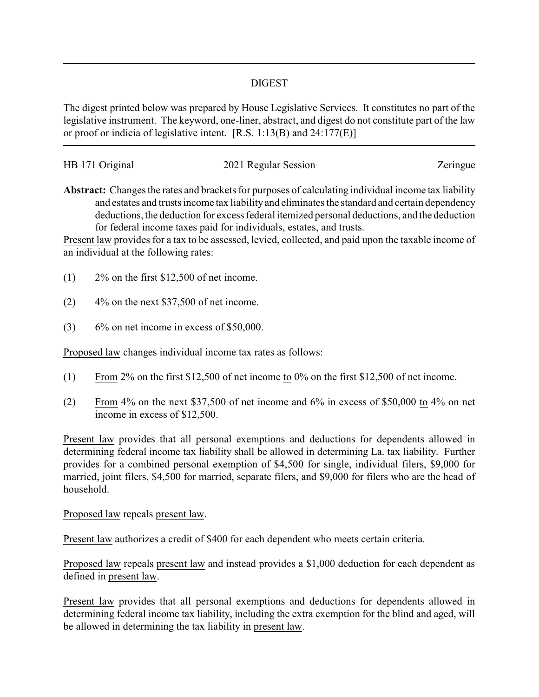## DIGEST

The digest printed below was prepared by House Legislative Services. It constitutes no part of the legislative instrument. The keyword, one-liner, abstract, and digest do not constitute part of the law or proof or indicia of legislative intent. [R.S. 1:13(B) and 24:177(E)]

| HB 171 Original | 2021 Regular Session | Zeringue |
|-----------------|----------------------|----------|
|                 |                      |          |

**Abstract:** Changes the rates and brackets for purposes of calculating individual income tax liability and estates and trusts income tax liability and eliminates the standard and certain dependency deductions, the deduction for excess federal itemized personal deductions, and the deduction for federal income taxes paid for individuals, estates, and trusts.

Present law provides for a tax to be assessed, levied, collected, and paid upon the taxable income of an individual at the following rates:

- $(1)$  2\% on the first \$12,500 of net income.
- $(2)$  4% on the next \$37,500 of net income.
- $(3)$  6% on net income in excess of \$50,000.

Proposed law changes individual income tax rates as follows:

- (1) From 2% on the first \$12,500 of net income to 0% on the first \$12,500 of net income.
- (2) From 4% on the next \$37,500 of net income and 6% in excess of \$50,000 to 4% on net income in excess of \$12,500.

Present law provides that all personal exemptions and deductions for dependents allowed in determining federal income tax liability shall be allowed in determining La. tax liability. Further provides for a combined personal exemption of \$4,500 for single, individual filers, \$9,000 for married, joint filers, \$4,500 for married, separate filers, and \$9,000 for filers who are the head of household.

Proposed law repeals present law.

Present law authorizes a credit of \$400 for each dependent who meets certain criteria.

Proposed law repeals present law and instead provides a \$1,000 deduction for each dependent as defined in present law.

Present law provides that all personal exemptions and deductions for dependents allowed in determining federal income tax liability, including the extra exemption for the blind and aged, will be allowed in determining the tax liability in present law.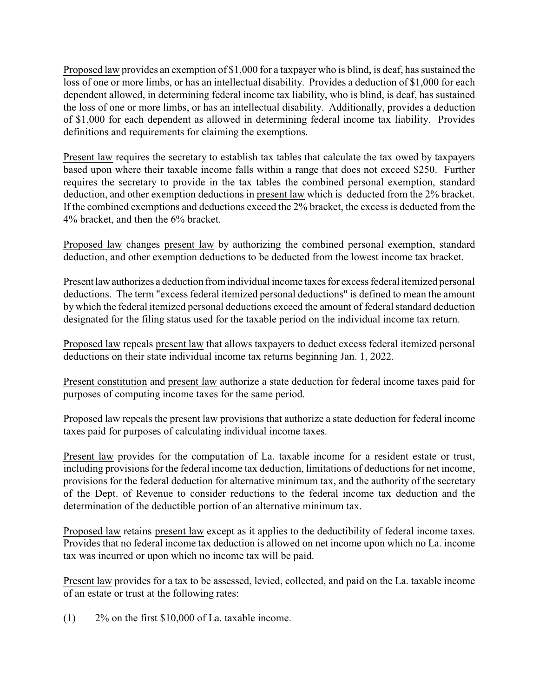Proposed law provides an exemption of \$1,000 for a taxpayer who is blind, is deaf, has sustained the loss of one or more limbs, or has an intellectual disability. Provides a deduction of \$1,000 for each dependent allowed, in determining federal income tax liability, who is blind, is deaf, has sustained the loss of one or more limbs, or has an intellectual disability. Additionally, provides a deduction of \$1,000 for each dependent as allowed in determining federal income tax liability. Provides definitions and requirements for claiming the exemptions.

Present law requires the secretary to establish tax tables that calculate the tax owed by taxpayers based upon where their taxable income falls within a range that does not exceed \$250. Further requires the secretary to provide in the tax tables the combined personal exemption, standard deduction, and other exemption deductions in present law which is deducted from the 2% bracket. If the combined exemptions and deductions exceed the 2% bracket, the excess is deducted from the 4% bracket, and then the 6% bracket.

Proposed law changes present law by authorizing the combined personal exemption, standard deduction, and other exemption deductions to be deducted from the lowest income tax bracket.

Present lawauthorizes a deduction from individual income taxes for excess federal itemized personal deductions. The term "excess federal itemized personal deductions" is defined to mean the amount by which the federal itemized personal deductions exceed the amount of federal standard deduction designated for the filing status used for the taxable period on the individual income tax return.

Proposed law repeals present law that allows taxpayers to deduct excess federal itemized personal deductions on their state individual income tax returns beginning Jan. 1, 2022.

Present constitution and present law authorize a state deduction for federal income taxes paid for purposes of computing income taxes for the same period.

Proposed law repeals the present law provisions that authorize a state deduction for federal income taxes paid for purposes of calculating individual income taxes.

Present law provides for the computation of La. taxable income for a resident estate or trust, including provisions for the federal income tax deduction, limitations of deductions for net income, provisions for the federal deduction for alternative minimum tax, and the authority of the secretary of the Dept. of Revenue to consider reductions to the federal income tax deduction and the determination of the deductible portion of an alternative minimum tax.

Proposed law retains present law except as it applies to the deductibility of federal income taxes. Provides that no federal income tax deduction is allowed on net income upon which no La. income tax was incurred or upon which no income tax will be paid.

Present law provides for a tax to be assessed, levied, collected, and paid on the La. taxable income of an estate or trust at the following rates:

(1) 2% on the first \$10,000 of La. taxable income.